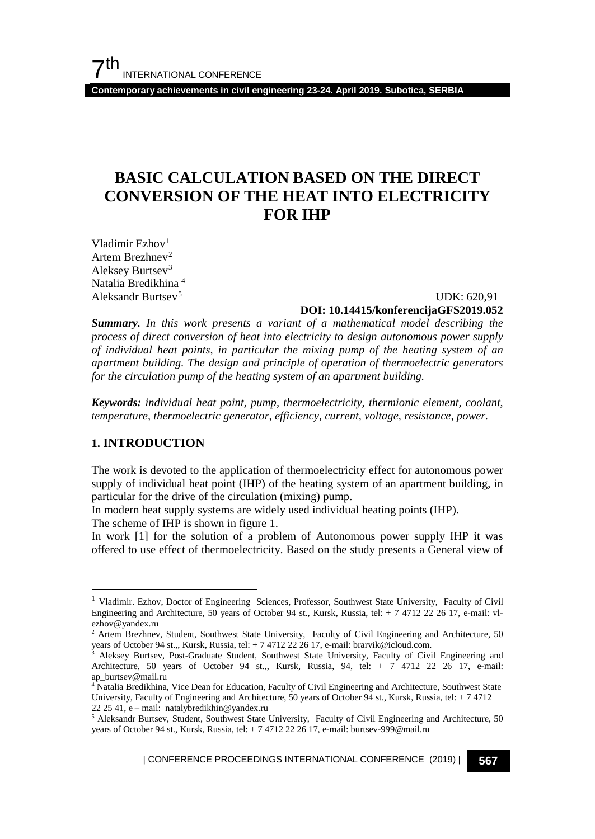**Contemporary achievements in civil engineering 23-24. April 2019. Subotica, SERBIA**

# **BASIC CALCULATION BASED ON THE DIRECT CONVERSION OF THE HEAT INTO ELECTRICITY FOR IHP**

Vladimir Ezhov $<sup>1</sup>$  $<sup>1</sup>$  $<sup>1</sup>$ </sup> Artem Brezhnev<sup>[2](#page-0-1)</sup> Aleksey Burtsev[3](#page-0-2) Natalia Bredikhina [4](#page-0-3) Aleksandr Burtsev[5](#page-0-4)

# UDK: 620,91 **DOI: 10.14415/konferencijaGFS2019.052**

*Summary. In this work presents a variant of a mathematical model describing the process of direct conversion of heat into electricity to design autonomous power supply of individual heat points, in particular the mixing pump of the heating system of an apartment building. The design and principle of operation of thermoelectric generators for the circulation pump of the heating system of an apartment building.*

*Keywords: individual heat point, pump, thermoelectricity, thermionic element, coolant, temperature, thermoelectric generator, efficiency, current, voltage, resistance, power.*

### **1. INTRODUCTION**

The work is devoted to the application of thermoelectricity effect for autonomous power supply of individual heat point (IHP) of the heating system of an apartment building, in particular for the drive of the circulation (mixing) pump.

In modern heat supply systems are widely used individual heating points (IHP).

The scheme of IHP is shown in figure 1.

In work [1] for the solution of a problem of Autonomous power supply IHP it was offered to use effect of thermoelectricity. Based on the study presents a General view of

<span id="page-0-0"></span><sup>&</sup>lt;sup>1</sup> Vladimir. Ezhov, Doctor of Engineering Sciences, Professor, Southwest State University, Faculty of Civil Engineering and Architecture, 50 years of October 94 st., Kursk, Russia, tel: + 7 4712 22 26 17, e-mail: vlezhov@yandex.ru

<span id="page-0-1"></span><sup>&</sup>lt;sup>2</sup> Artem Brezhnev, Student, Southwest State University, Faculty of Civil Engineering and Architecture, 50 years of October 94 st.,, Kursk, Russia, tel: + 7 4712 22 26 17, e-mail[: brarvik@icloud.com.](mailto:brarvik@icloud.com)

<span id="page-0-2"></span><sup>3</sup> Aleksey Burtsev, Post-Graduate Student, Southwest State University, Faculty of Civil Engineering and Architecture, 50 years of October 94 st.,, Kursk, Russia, 94, tel: + 7 4712 22 26 17, e-mail: [ap\\_burtsev@mail.ru](mailto:ap_burtsev@mail.ru)

<span id="page-0-3"></span><sup>&</sup>lt;sup>4</sup> Natalia Bredikhina, Vice Dean for Education, Faculty of Civil Engineering and Architecture, Southwest State University, Faculty of Engineering and Architecture, 50 years of October 94 st., Kursk, Russia, tel: + 7 4712 22 25 41, e – mail: [natalybredikhin@yandex.ru](mailto:natalybredikhin@yandex.ru)

<span id="page-0-4"></span><sup>&</sup>lt;sup>5</sup> Aleksandr Burtsev, Student, Southwest State University, Faculty of Civil Engineering and Architecture, 50 years of October 94 st., Kursk, Russia, tel: + 7 4712 22 26 17, e-mail: burtsev-999@mail.ru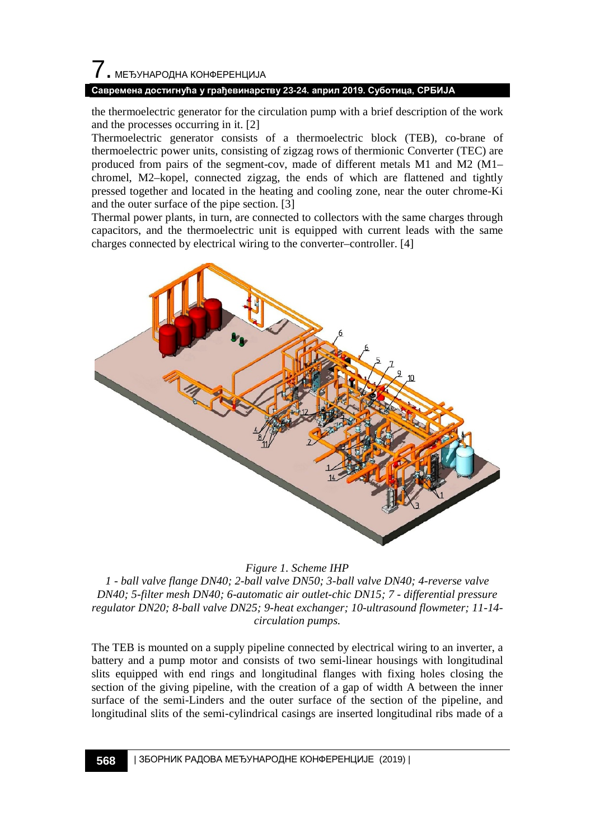# 7. МЕЂУНАРОДНА КОНФЕРЕНЦИЈА

#### **Савремена достигнућа у грађевинарству 23-24. април 2019. Суботица, СРБИЈА**

the thermoelectric generator for the circulation pump with a brief description of the work and the processes occurring in it. [2]

Thermoelectric generator consists of a thermoelectric block (TEB), co-brane of thermoelectric power units, consisting of zigzag rows of thermionic Converter (TEC) are produced from pairs of the segment-cov, made of different metals M1 and M2 (M1– chromel, M2–kopel, connected zigzag, the ends of which are flattened and tightly pressed together and located in the heating and cooling zone, near the outer chrome-Ki and the outer surface of the pipe section. [3]

Thermal power plants, in turn, are connected to collectors with the same charges through capacitors, and the thermoelectric unit is equipped with current leads with the same charges connected by electrical wiring to the converter–controller. [4]



#### *Figure 1. Scheme IHP*

*1 - ball valve flange DN40; 2-ball valve DN50; 3-ball valve DN40; 4-reverse valve DN40; 5-filter mesh DN40; 6-automatic air outlet-chic DN15; 7 - differential pressure regulator DN20; 8-ball valve DN25; 9-heat exchanger; 10-ultrasound flowmeter; 11-14 circulation pumps.*

The TEB is mounted on a supply pipeline connected by electrical wiring to an inverter, a battery and a pump motor and consists of two semi-linear housings with longitudinal slits equipped with end rings and longitudinal flanges with fixing holes closing the section of the giving pipeline, with the creation of a gap of width A between the inner surface of the semi-Linders and the outer surface of the section of the pipeline, and longitudinal slits of the semi-cylindrical casings are inserted longitudinal ribs made of a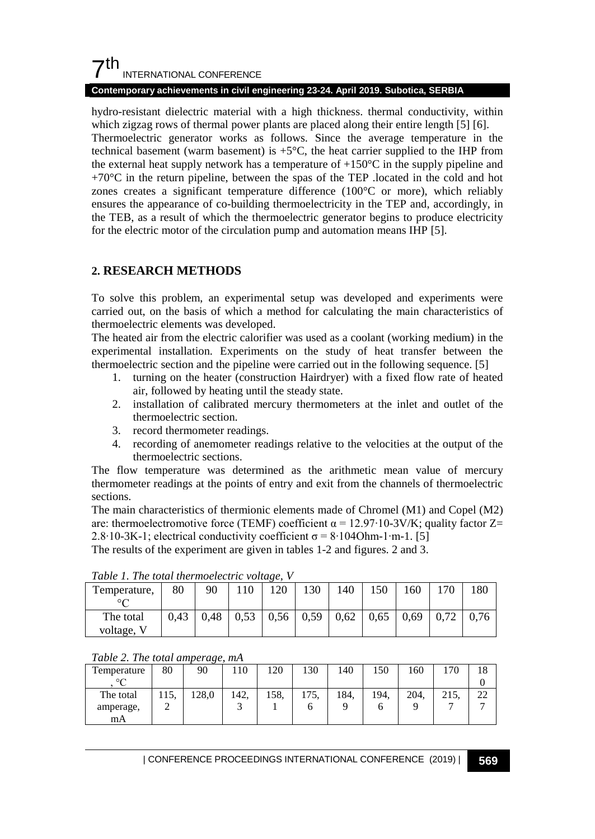# $7<sup>th</sup>$ INTERNATIONAL CONFERENCE

#### **Contemporary achievements in civil engineering 23-24. April 2019. Subotica, SERBIA**

hydro-resistant dielectric material with a high thickness. thermal conductivity, within which zigzag rows of thermal power plants are placed along their entire length [5] [6]. Thermoelectric generator works as follows. Since the average temperature in the technical basement (warm basement) is  $+5^{\circ}$ C, the heat carrier supplied to the IHP from the external heat supply network has a temperature of  $+150^{\circ}$ C in the supply pipeline and  $+70^{\circ}$ C in the return pipeline, between the spas of the TEP .located in the cold and hot zones creates a significant temperature difference (100°C or more), which reliably ensures the appearance of co-building thermoelectricity in the TEP and, accordingly, in the TEB, as a result of which the thermoelectric generator begins to produce electricity for the electric motor of the circulation pump and automation means IHP [5].

# **2. RESEARCH METHODS**

To solve this problem, an experimental setup was developed and experiments were carried out, on the basis of which a method for calculating the main characteristics of thermoelectric elements was developed.

The heated air from the electric calorifier was used as a coolant (working medium) in the experimental installation. Experiments on the study of heat transfer between the thermoelectric section and the pipeline were carried out in the following sequence. [5]

- 1. turning on the heater (construction Hairdryer) with a fixed flow rate of heated air, followed by heating until the steady state.
- 2. installation of calibrated mercury thermometers at the inlet and outlet of the thermoelectric section.
- 3. record thermometer readings.
- 4. recording of anemometer readings relative to the velocities at the output of the thermoelectric sections.

The flow temperature was determined as the arithmetic mean value of mercury thermometer readings at the points of entry and exit from the channels of thermoelectric sections.

The main characteristics of thermionic elements made of Chromel (M1) and Copel (M2) are: thermoelectromotive force (TEMF) coefficient  $\alpha = 12.97 \cdot 10 \cdot 3V/K$ ; quality factor Z= 2.8⋅10-3K-1; electrical conductivity coefficient  $\sigma = 8 \cdot 104$ Ohm-1⋅m-1. [5]

The results of the experiment are given in tables 1-2 and figures. 2 and 3.

| Tuble 1. The loan mermoelectric voltage, v |      |      |      |      |      |      |      |      |      |      |
|--------------------------------------------|------|------|------|------|------|------|------|------|------|------|
| Temperature,                               | 80   | 90   |      | 120  | 130  | 140  | 150  | 160  | 70   | 180  |
| $\circ$ $\sim$                             |      |      |      |      |      |      |      |      |      |      |
| The total                                  | 0.43 | 0.48 | 0,53 | 0,56 | 0,59 | 0,62 | 0.65 | 0.69 | 0.72 | 0.76 |
| voltage, V                                 |      |      |      |      |      |      |      |      |      |      |

*Table 1. The total thermoelectric voltage, V*

*Table 2. The total amperage, mA*

| Temperature | 80   | 90    | 110  | 20   | 130  | 140  | 150  | 60   | .70          | 18 |
|-------------|------|-------|------|------|------|------|------|------|--------------|----|
| $\circ$     |      |       |      |      |      |      |      |      |              |    |
| The total   | 115. | .28,0 | 142. | 158. | 175, | 184. | 194. | 204. | 215<br>21.3. | 22 |
| amperage,   |      |       |      |      |      |      |      |      |              |    |
| mA          |      |       |      |      |      |      |      |      |              |    |

| CONFERENCE PROCEEDINGS INTERNATIONAL CONFERENCE (2019) <sup>|</sup>**569**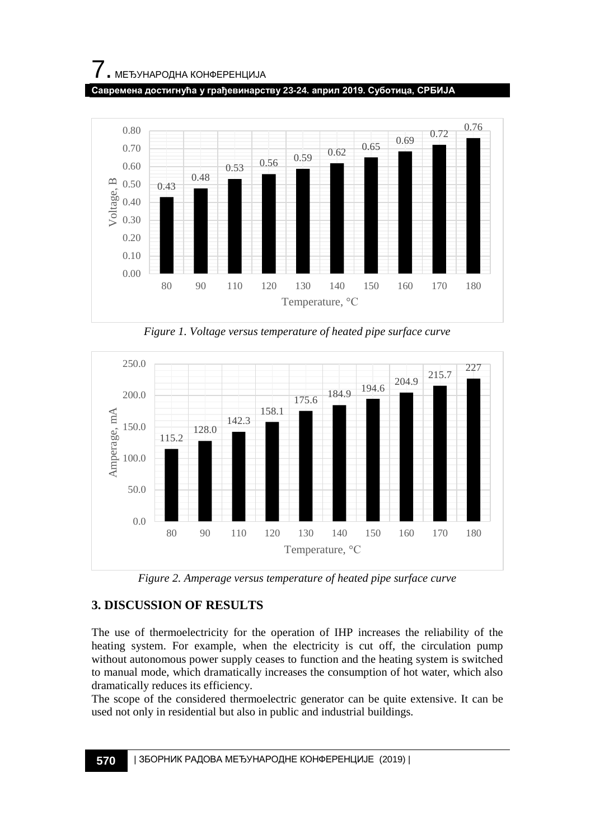**Савремена достигнућа у грађевинарству 23-24. април 2019. Суботица, СРБИЈА**



*Figure 1. Voltage versus temperature of heated pipe surface curve*



*Figure 2. Amperage versus temperature of heated pipe surface curve*

# **3. DISCUSSION OF RESULTS**

The use of thermoelectricity for the operation of IHP increases the reliability of the heating system. For example, when the electricity is cut off, the circulation pump without autonomous power supply ceases to function and the heating system is switched to manual mode, which dramatically increases the consumption of hot water, which also dramatically reduces its efficiency.

The scope of the considered thermoelectric generator can be quite extensive. It can be used not only in residential but also in public and industrial buildings.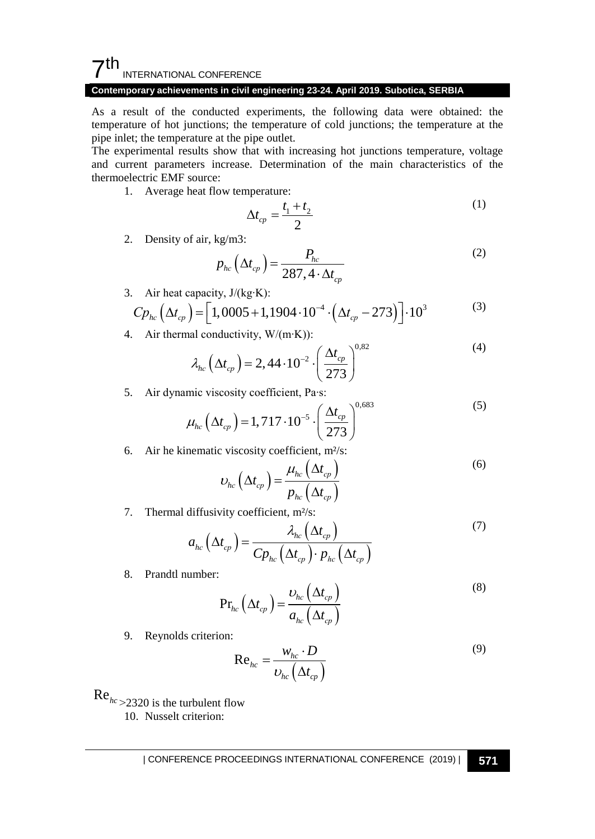#### $\mathsf{\Sigma}^{\mathsf{th}}$ INTERNATIONAL CONFERENCE

## **Contemporary achievements in civil engineering 23-24. April 2019. Subotica, SERBIA**

As a result of the conducted experiments, the following data were obtained: the temperature of hot junctions; the temperature of cold junctions; the temperature at the pipe inlet; the temperature at the pipe outlet.

The experimental results show that with increasing hot junctions temperature, voltage and current parameters increase. Determination of the main characteristics of the thermoelectric EMF source:

1. Average heat flow temperature:

$$
\Delta t_{cp} = \frac{t_1 + t_2}{2} \tag{1}
$$

2. Density of air, kg/m3:

$$
p_{hc} \left( \Delta t_{cp} \right) = \frac{P_{hc}}{287, 4 \cdot \Delta t_{cp}} \tag{2}
$$

3. Air heat capacity, J/(kg∙K):

$$
C p_{hc} \left( \Delta t_{cp} \right) = \left[ 1,0005 + 1,1904 \cdot 10^{-4} \cdot \left( \Delta t_{cp} - 273 \right) \right] \cdot 10^3 \tag{3}
$$

4. Air thermal conductivity, W/(m∙K)):

$$
\lambda_{hc} \left( \Delta t_{cp} \right) = 2,44 \cdot 10^{-2} \cdot \left( \frac{\Delta t_{cp}}{273} \right)^{0.82}
$$
 (4)

5. Air dynamic viscosity coefficient, Pa∙s:

$$
\mu_{hc} \left( \Delta t_{cp} \right) = 1,717 \cdot 10^{-5} \cdot \left( \frac{\Delta t_{cp}}{273} \right)^{0,683} \tag{5}
$$

6. Air he kinematic viscosity coefficient,  $m^2/s$ :

$$
U_{hc} \left( \Delta t_{cp} \right) = \frac{\mu_{hc} \left( \Delta t_{cp} \right)}{p_{hc} \left( \Delta t_{cp} \right)}
$$
(6)

7. Thermal diffusivity coefficient, m<sup>2</sup>/s:

$$
a_{hc} \left(\Delta t_{cp}\right) = \frac{\lambda_{hc} \left(\Delta t_{cp}\right)}{C p_{hc} \left(\Delta t_{cp}\right) \cdot p_{hc} \left(\Delta t_{cp}\right)}
$$
(7)

8. Prandtl number:

$$
\Pr_{hc} (\Delta t_{cp}) = \frac{\nu_{hc} (\Delta t_{cp})}{a_{hc} (\Delta t_{cp})}
$$
\n(8)

9. Reynolds criterion:

$$
\text{Re}_{hc} = \frac{W_{hc} \cdot D}{U_{hc} \left(\Delta t_{cp}\right)}
$$
(9)

 $\text{Re}_{hc}$  > 2320 is the turbulent flow

10. Nusselt criterion: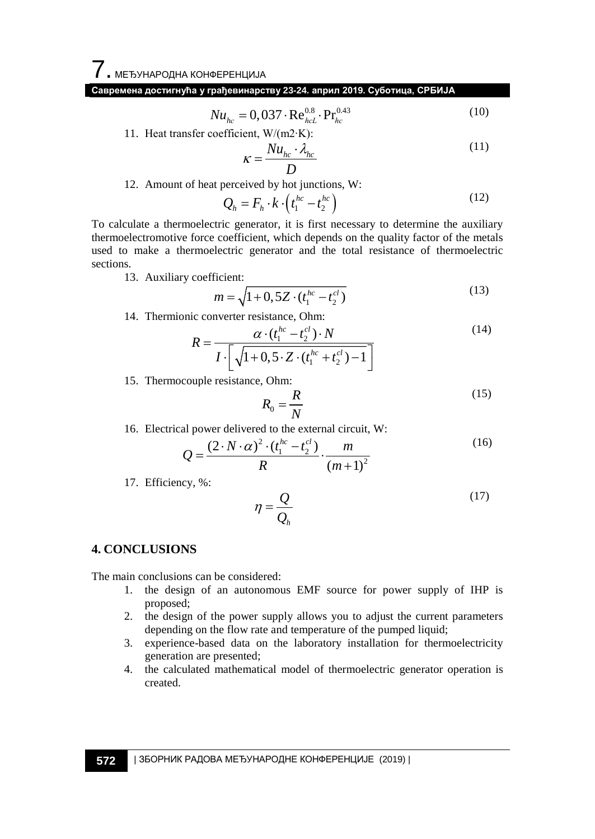7. МЕЂУНАРОДНА КОНФЕРЕНЦИЈА

# **Савремена достигнућа у грађевинарству 23-24. април 2019. Суботица, СРБИЈА**

 $Nu_{hc} = 0.037 \cdot \text{Re}_{hcl}^{0.8} \cdot \text{Pr}_{hc}^{0.43}$ (10)

11. Heat transfer coefficient, W/(m2∙K):

$$
\kappa = \frac{Nu_{hc} \cdot \lambda_{hc}}{D}
$$
 (11)

12. Amount of heat perceived by hot junctions, W:

$$
Q_h = F_h \cdot k \cdot \left( t_1^{hc} - t_2^{hc} \right) \tag{12}
$$

To calculate a thermoelectric generator, it is first necessary to determine the auxiliary thermoelectromotive force coefficient, which depends on the quality factor of the metals used to make a thermoelectric generator and the total resistance of thermoelectric sections.

13. Auxiliary coefficient:

$$
m = \sqrt{1 + 0.5Z \cdot (t_1^{hc} - t_2^{cl})}
$$
\n(13)

14. Thermionic converter resistance, Ohm:

$$
R = \frac{\alpha \cdot (t_1^{hc} - t_2^{cl}) \cdot N}{I \cdot \left[ \sqrt{1 + 0.5 \cdot Z \cdot (t_1^{hc} + t_2^{cl}) - 1} \right]}
$$
(14)

15. Thermocouple resistance, Ohm:

$$
R_0 = \frac{R}{N} \tag{15}
$$

16. Electrical power delivered to the external circuit, W:

$$
Q = \frac{(2 \cdot N \cdot \alpha)^2 \cdot (t_1^{hc} - t_2^{cl})}{R} \cdot \frac{m}{(m+1)^2}
$$
 (16)

17. Efficiency, %:

$$
\eta = \frac{Q}{Q_h} \tag{17}
$$

#### **4. CONCLUSIONS**

The main conclusions can be considered:

- 1. the design of an autonomous EMF source for power supply of IHP is proposed;
- 2. the design of the power supply allows you to adjust the current parameters depending on the flow rate and temperature of the pumped liquid;
- 3. experience-based data on the laboratory installation for thermoelectricity generation are presented;
- 4. the calculated mathematical model of thermoelectric generator operation is created.